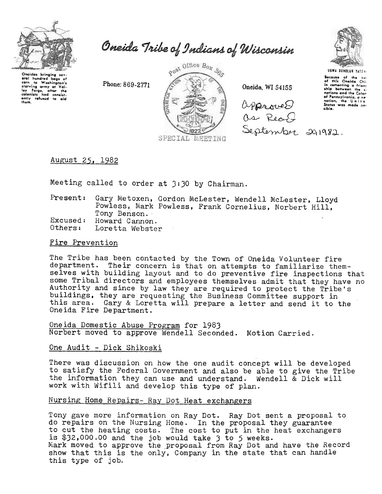

Oneida Tribe of Indians of Wisconsin

Oneidas bringing sev eral hundred bags orum in Washington's<br>starving army at Valington's<br>starving army at Valington's<br>cloomists had consist-<br>only refused to aid<br>them.

Phone: 869-2771



Oneida. WI 54155





**USWA DEHOLUN YATEN** 

Because of the hel<br>of this Oneida Chic in comenting a friend nations and the Color of Pennsylvania, a new<br>nation, the United<br>States was made position.

August 25, 1982

Meeting called to order at 3:30 by Chairman.

| Present: | Gary Metoxen, Gordon McLester, Wendell McLester, Lloyd |
|----------|--------------------------------------------------------|
|          | Powless, Mark Powless, Frank Cornelius, Norbert Hill,  |
|          | Tony Benson.                                           |
| Excused: | Howard Cannon.                                         |
| Others:  | Loretta Webster                                        |

### Fire Prevention

The Tribe has been contacted by the Town of Oneida Volunteer fire department. Their concern is that on attempts to familiarize themselves with building layout and to do preventive fire inspections that some Tribal directors and employees themselves admit that they have no Authority and since by law they are required to protect the Tribe's buildings, they are requesting the Business Committee support in this area. Gary & Loretta will prepare a letter and send it to the Oneida Fire Department.

Oneida Domestic Abuse Program for 1983 Norbert moved to approve Wendell Seconded. Motion Carried.

One Audit - Dick Shikoski

There was discussion on how the one audit concept will be developed to satisfy the Federal Government and also be able to give the Tribe the information they can use and understand. Wendell  $\check{\alpha}$  Dick will work with Wifili and develop this type of plan.

## Nursing Home Repairs- Ray Dot Heat exchangers

Tony gave more information on Ray Dot. Ray Dot sent a proposal to do repairs on the Nursing Home. In the proposal they guarantee to cut the heating costs. The cost to put in the heat exchangers<br>is \$32,000.00 and the job would take 3 to 5 weeks.<br>Mark moved to approve the proposal from Ray Dot and have the Record show that this is the only, Company in the state that can handle this type of job.